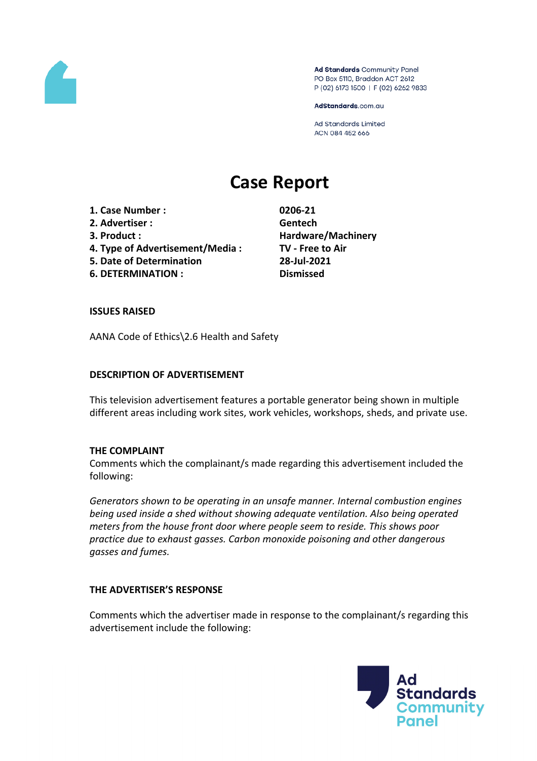

Ad Standards Community Panel PO Box 5110, Braddon ACT 2612 P (02) 6173 1500 | F (02) 6262 9833

AdStandards.com.au

Ad Standards Limited ACN 084 452 666

# **Case Report**

- **1. Case Number : 0206-21**
- **2. Advertiser : Gentech**
- 
- **4. Type of Advertisement/Media : TV - Free to Air**
- **5. Date of Determination 28-Jul-2021**
- **6. DETERMINATION : Dismissed**

**3. Product : Hardware/Machinery**

### **ISSUES RAISED**

AANA Code of Ethics\2.6 Health and Safety

### **DESCRIPTION OF ADVERTISEMENT**

This television advertisement features a portable generator being shown in multiple different areas including work sites, work vehicles, workshops, sheds, and private use.

### **THE COMPLAINT**

Comments which the complainant/s made regarding this advertisement included the following:

*Generators shown to be operating in an unsafe manner. Internal combustion engines being used inside a shed without showing adequate ventilation. Also being operated meters from the house front door where people seem to reside. This shows poor practice due to exhaust gasses. Carbon monoxide poisoning and other dangerous gasses and fumes.*

### **THE ADVERTISER'S RESPONSE**

Comments which the advertiser made in response to the complainant/s regarding this advertisement include the following:

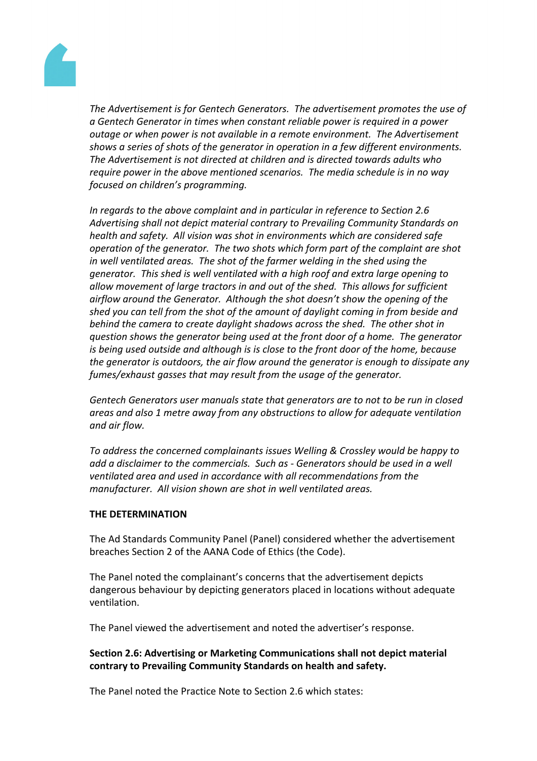

*The Advertisement is for Gentech Generators. The advertisement promotes the use of a Gentech Generator in times when constant reliable power is required in a power outage or when power is not available in a remote environment. The Advertisement shows a series of shots of the generator in operation in a few different environments. The Advertisement is not directed at children and is directed towards adults who require power in the above mentioned scenarios. The media schedule is in no way focused on children's programming.*

*In regards to the above complaint and in particular in reference to Section 2.6 Advertising shall not depict material contrary to Prevailing Community Standards on health and safety. All vision was shot in environments which are considered safe operation of the generator. The two shots which form part of the complaint are shot in well ventilated areas. The shot of the farmer welding in the shed using the generator. This shed is well ventilated with a high roof and extra large opening to allow movement of large tractors in and out of the shed. This allows for sufficient airflow around the Generator. Although the shot doesn't show the opening of the shed you can tell from the shot of the amount of daylight coming in from beside and behind the camera to create daylight shadows across the shed. The other shot in question shows the generator being used at the front door of a home. The generator is being used outside and although is is close to the front door of the home, because the generator is outdoors, the air flow around the generator is enough to dissipate any fumes/exhaust gasses that may result from the usage of the generator.*

*Gentech Generators user manuals state that generators are to not to be run in closed areas and also 1 metre away from any obstructions to allow for adequate ventilation and air flow.*

*To address the concerned complainants issues Welling & Crossley would be happy to add a disclaimer to the commercials. Such as - Generators should be used in a well ventilated area and used in accordance with all recommendations from the manufacturer. All vision shown are shot in well ventilated areas.*

### **THE DETERMINATION**

The Ad Standards Community Panel (Panel) considered whether the advertisement breaches Section 2 of the AANA Code of Ethics (the Code).

The Panel noted the complainant's concerns that the advertisement depicts dangerous behaviour by depicting generators placed in locations without adequate ventilation.

The Panel viewed the advertisement and noted the advertiser's response.

## **Section 2.6: Advertising or Marketing Communications shall not depict material contrary to Prevailing Community Standards on health and safety.**

The Panel noted the Practice Note to Section 2.6 which states: